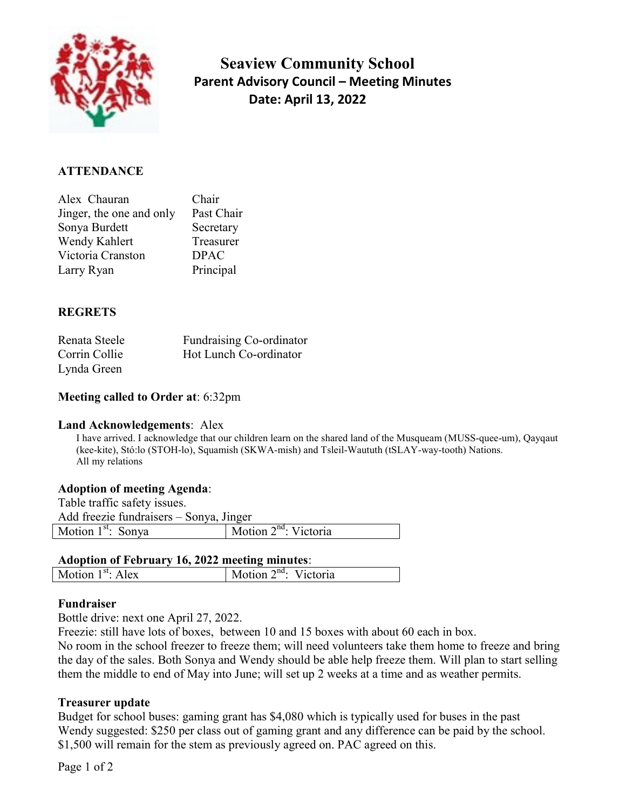

 Seaview Community School Parent Advisory Council – Meeting Minutes Date: April 13, 2022

### **ATTENDANCE**

| Alex Chauran             | Chair       |
|--------------------------|-------------|
| Jinger, the one and only | Past Chair  |
| Sonya Burdett            | Secretary   |
| Wendy Kahlert            | Treasurer   |
| Victoria Cranston        | <b>DPAC</b> |
| Larry Ryan               | Principal   |

### **REGRETS**

| Renata Steele | Fundraising Co-ordinator |
|---------------|--------------------------|
| Corrin Collie | Hot Lunch Co-ordinator   |
| Lynda Green   |                          |

### Meeting called to Order at: 6:32pm

#### Land Acknowledgements: Alex

I have arrived. I acknowledge that our children learn on the shared land of the Musqueam (MUSS-quee-um), Qayqaut (kee-kite), Stó:lo (STOH-lo), Squamish (SKWA-mish) and Tsleil-Waututh (tSLAY-way-tooth) Nations. All my relations

#### Adoption of meeting Agenda:

Table traffic safety issues.

| Add freezie fundraisers – Sonya, Jinger |                                    |  |  |  |
|-----------------------------------------|------------------------------------|--|--|--|
| Motion $1st$ : Sonya                    | $\vert$ Motion $2^{nd}$ : Victoria |  |  |  |

#### Adoption of February 16, 2022 meeting minutes:

| M | $\mathbf{A}$ | .uu | ٦а |
|---|--------------|-----|----|
|   |              |     |    |

#### Fundraiser

Bottle drive: next one April 27, 2022.

Freezie: still have lots of boxes, between 10 and 15 boxes with about 60 each in box.

No room in the school freezer to freeze them; will need volunteers take them home to freeze and bring the day of the sales. Both Sonya and Wendy should be able help freeze them. Will plan to start selling them the middle to end of May into June; will set up 2 weeks at a time and as weather permits.

#### Treasurer update

Budget for school buses: gaming grant has \$4,080 which is typically used for buses in the past Wendy suggested: \$250 per class out of gaming grant and any difference can be paid by the school. \$1,500 will remain for the stem as previously agreed on. PAC agreed on this.

Page 1 of 2